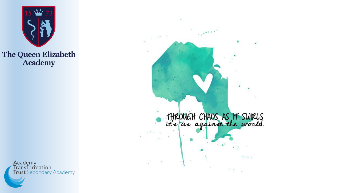



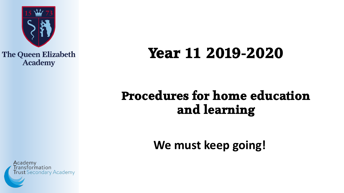

# **Year 11 2019-2020**

### Procedures for home education and learning

**We must keep going!**

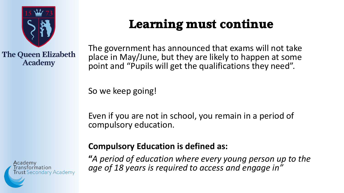

### Learning must continue

The government has announced that exams will not take place in May/June, but they are likely to happen at some point and "Pupils will get the qualifications they need".

So we keep going!

Even if you are not in school, you remain in a period of compulsory education.

Academy ransformation **Secondary Academy** 

#### **Compulsory Education is defined as:**

**"***A period of education where every young person up to the age of 18 years is required to access and engage in"*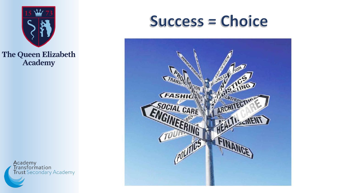





**Academy<br>Transformation<br>Trust** Secondary Academy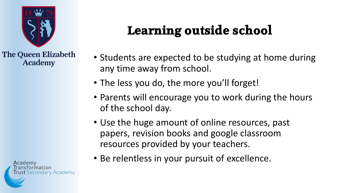

**Learning outside school**

- Students are expected to be studying at home during any time away from school.
- The less you do, the more you'll forget!
- Parents will encourage you to work during the hours of the school day.
- Use the huge amount of online resources, past papers, revision books and google classroom resources provided by your teachers.
- Be relentless in your pursuit of excellence.

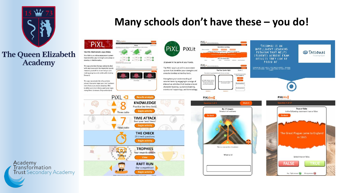





Academy<br>Transformation **Trust** Secondary Academy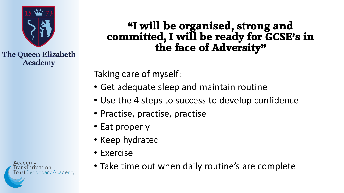

#### **"I will be organised, strong and committed, I will be ready for GCSE's in the face of Adversity"**

Taking care of myself:

- Get adequate sleep and maintain routine
- Use the 4 steps to success to develop confidence
- Practise, practise, practise
- Eat properly
- Keep hydrated
- Exercise
- Take time out when daily routine's are complete

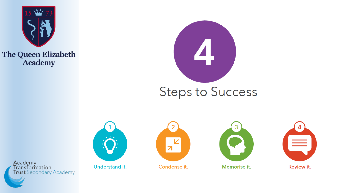



### **Steps to Success**



Understand it.



Condense it.



Memorise it.



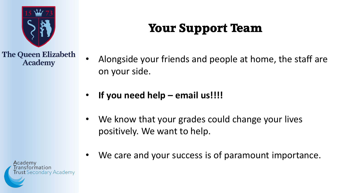

## Your Support Team

- Alongside your friends and people at home, the staff are on your side.
- **If you need help – email us!!!!**
- We know that your grades could change your lives positively. We want to help.
- We care and your success is of paramount importance.

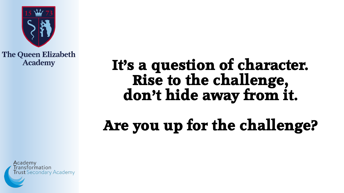

# It's a question of character. **Rise to the challenge, don't hide away from it.**

# **Are you up for the challenge?**

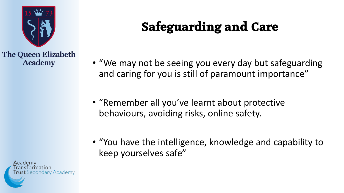

Safeguarding and Care

- "We may not be seeing you every day but safeguarding and caring for you is still of paramount importance"
- "Remember all you've learnt about protective behaviours, avoiding risks, online safety.
- "You have the intelligence, knowledge and capability to keep yourselves safe"

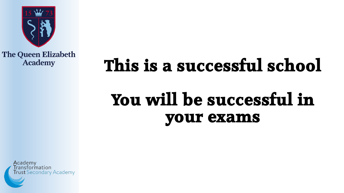

# **This is a successful school**

# **You will be successful in your exams**

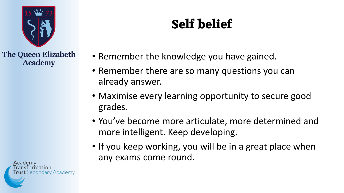

Self belief

- Remember the knowledge you have gained.
- Remember there are so many questions you can already answer.
- Maximise every learning opportunity to secure good grades.
- You've become more articulate, more determined and more intelligent. Keep developing.
- If you keep working, you will be in a great place when any exams come round.